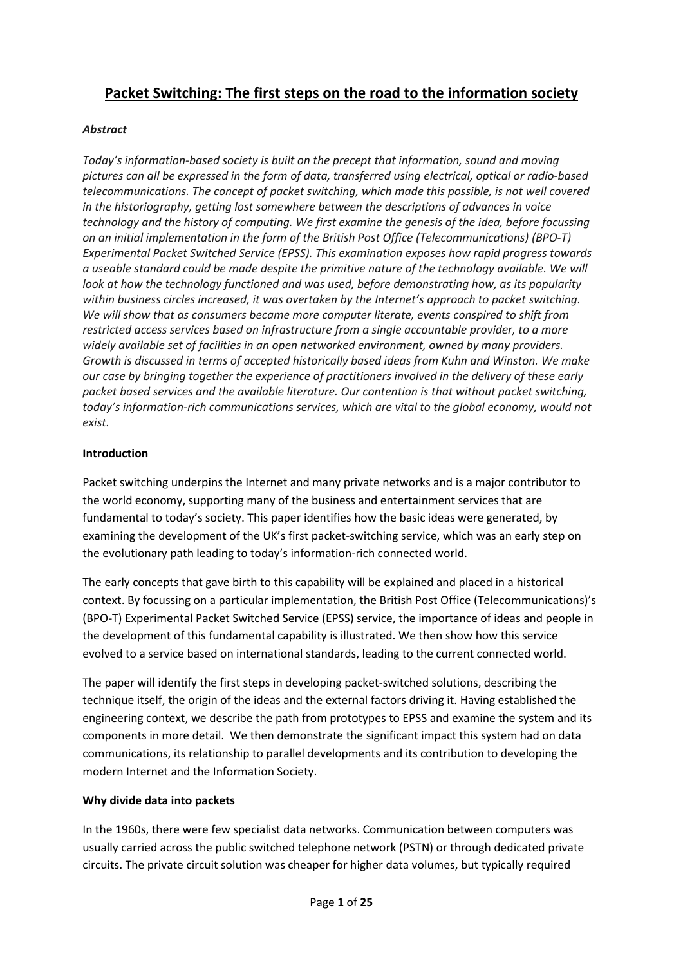# **Packet Switching: The first steps on the road to the information society**

## *Abstract*

*Today's information-based society is built on the precept that information, sound and moving pictures can all be expressed in the form of data, transferred using electrical, optical or radio-based telecommunications. The concept of packet switching, which made this possible, is not well covered in the historiography, getting lost somewhere between the descriptions of advances in voice technology and the history of computing. We first examine the genesis of the idea, before focussing on an initial implementation in the form of the British Post Office (Telecommunications) (BPO-T) Experimental Packet Switched Service (EPSS). This examination exposes how rapid progress towards a useable standard could be made despite the primitive nature of the technology available. We will look at how the technology functioned and was used, before demonstrating how, as its popularity within business circles increased, it was overtaken by the Internet's approach to packet switching. We will show that as consumers became more computer literate, events conspired to shift from restricted access services based on infrastructure from a single accountable provider, to a more widely available set of facilities in an open networked environment, owned by many providers. Growth is discussed in terms of accepted historically based ideas from Kuhn and Winston. We make our case by bringing together the experience of practitioners involved in the delivery of these early packet based services and the available literature. Our contention is that without packet switching, today's information-rich communications services, which are vital to the global economy, would not exist.*

### **Introduction**

Packet switching underpins the Internet and many private networks and is a major contributor to the world economy, supporting many of the business and entertainment services that are fundamental to today's society. This paper identifies how the basic ideas were generated, by examining the development of the UK's first packet-switching service, which was an early step on the evolutionary path leading to today's information-rich connected world.

The early concepts that gave birth to this capability will be explained and placed in a historical context. By focussing on a particular implementation, the British Post Office (Telecommunications)'s (BPO-T) Experimental Packet Switched Service (EPSS) service, the importance of ideas and people in the development of this fundamental capability is illustrated. We then show how this service evolved to a service based on international standards, leading to the current connected world.

The paper will identify the first steps in developing packet-switched solutions, describing the technique itself, the origin of the ideas and the external factors driving it. Having established the engineering context, we describe the path from prototypes to EPSS and examine the system and its components in more detail. We then demonstrate the significant impact this system had on data communications, its relationship to parallel developments and its contribution to developing the modern Internet and the Information Society.

### **Why divide data into packets**

In the 1960s, there were few specialist data networks. Communication between computers was usually carried across the public switched telephone network (PSTN) or through dedicated private circuits. The private circuit solution was cheaper for higher data volumes, but typically required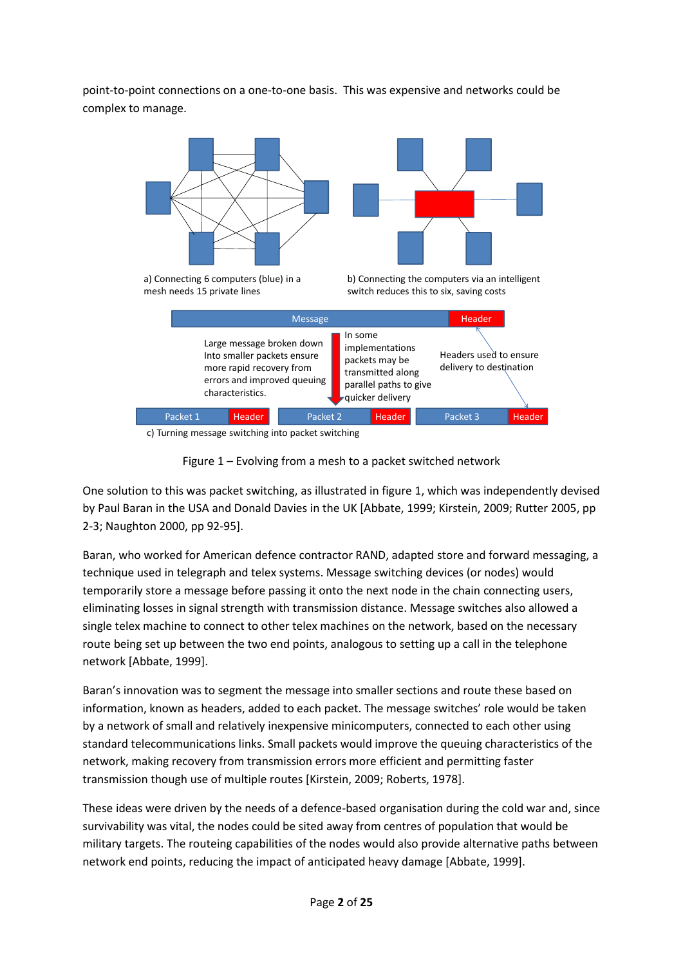point-to-point connections on a one-to-one basis. This was expensive and networks could be complex to manage.







One solution to this was packet switching, as illustrated in figure 1, which was independently devised by Paul Baran in the USA and Donald Davies in the UK [Abbate, 1999; Kirstein, 2009; Rutter 2005, pp 2-3; Naughton 2000, pp 92-95].

Baran, who worked for American defence contractor RAND, adapted store and forward messaging, a technique used in telegraph and telex systems. Message switching devices (or nodes) would temporarily store a message before passing it onto the next node in the chain connecting users, eliminating losses in signal strength with transmission distance. Message switches also allowed a single telex machine to connect to other telex machines on the network, based on the necessary route being set up between the two end points, analogous to setting up a call in the telephone network [Abbate, 1999].

Baran's innovation was to segment the message into smaller sections and route these based on information, known as headers, added to each packet. The message switches' role would be taken by a network of small and relatively inexpensive minicomputers, connected to each other using standard telecommunications links. Small packets would improve the queuing characteristics of the network, making recovery from transmission errors more efficient and permitting faster transmission though use of multiple routes [Kirstein, 2009; Roberts, 1978].

These ideas were driven by the needs of a defence-based organisation during the cold war and, since survivability was vital, the nodes could be sited away from centres of population that would be military targets. The routeing capabilities of the nodes would also provide alternative paths between network end points, reducing the impact of anticipated heavy damage [Abbate, 1999].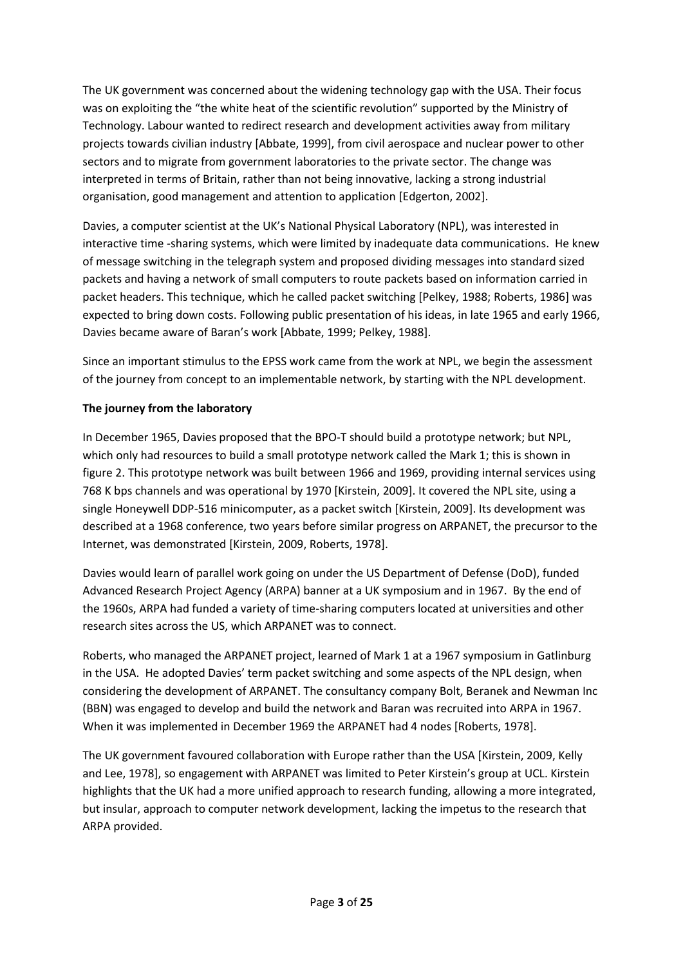The UK government was concerned about the widening technology gap with the USA. Their focus was on exploiting the "the white heat of the scientific revolution" supported by the Ministry of Technology. Labour wanted to redirect research and development activities away from military projects towards civilian industry [Abbate, 1999], from civil aerospace and nuclear power to other sectors and to migrate from government laboratories to the private sector. The change was interpreted in terms of Britain, rather than not being innovative, lacking a strong industrial organisation, good management and attention to application [Edgerton, 2002].

Davies, a computer scientist at the UK's National Physical Laboratory (NPL), was interested in interactive time -sharing systems, which were limited by inadequate data communications. He knew of message switching in the telegraph system and proposed dividing messages into standard sized packets and having a network of small computers to route packets based on information carried in packet headers. This technique, which he called packet switching [Pelkey, 1988; Roberts, 1986] was expected to bring down costs. Following public presentation of his ideas, in late 1965 and early 1966, Davies became aware of Baran's work [Abbate, 1999; Pelkey, 1988].

Since an important stimulus to the EPSS work came from the work at NPL, we begin the assessment of the journey from concept to an implementable network, by starting with the NPL development.

## **The journey from the laboratory**

In December 1965, Davies proposed that the BPO-T should build a prototype network; but NPL, which only had resources to build a small prototype network called the Mark 1; this is shown in figure 2. This prototype network was built between 1966 and 1969, providing internal services using 768 K bps channels and was operational by 1970 [Kirstein, 2009]. It covered the NPL site, using a single Honeywell DDP-516 minicomputer, as a packet switch [Kirstein, 2009]. Its development was described at a 1968 conference, two years before similar progress on ARPANET, the precursor to the Internet, was demonstrated [Kirstein, 2009, Roberts, 1978].

Davies would learn of parallel work going on under the US Department of Defense (DoD), funded Advanced Research Project Agency (ARPA) banner at a UK symposium and in 1967. By the end of the 1960s, ARPA had funded a variety of time-sharing computers located at universities and other research sites across the US, which ARPANET was to connect.

Roberts, who managed the ARPANET project, learned of Mark 1 at a 1967 symposium in Gatlinburg in the USA. He adopted Davies' term packet switching and some aspects of the NPL design, when considering the development of ARPANET. The consultancy company Bolt, Beranek and Newman Inc (BBN) was engaged to develop and build the network and Baran was recruited into ARPA in 1967. When it was implemented in December 1969 the ARPANET had 4 nodes [Roberts, 1978].

The UK government favoured collaboration with Europe rather than the USA [Kirstein, 2009, Kelly and Lee, 1978], so engagement with ARPANET was limited to Peter Kirstein's group at UCL. Kirstein highlights that the UK had a more unified approach to research funding, allowing a more integrated, but insular, approach to computer network development, lacking the impetus to the research that ARPA provided.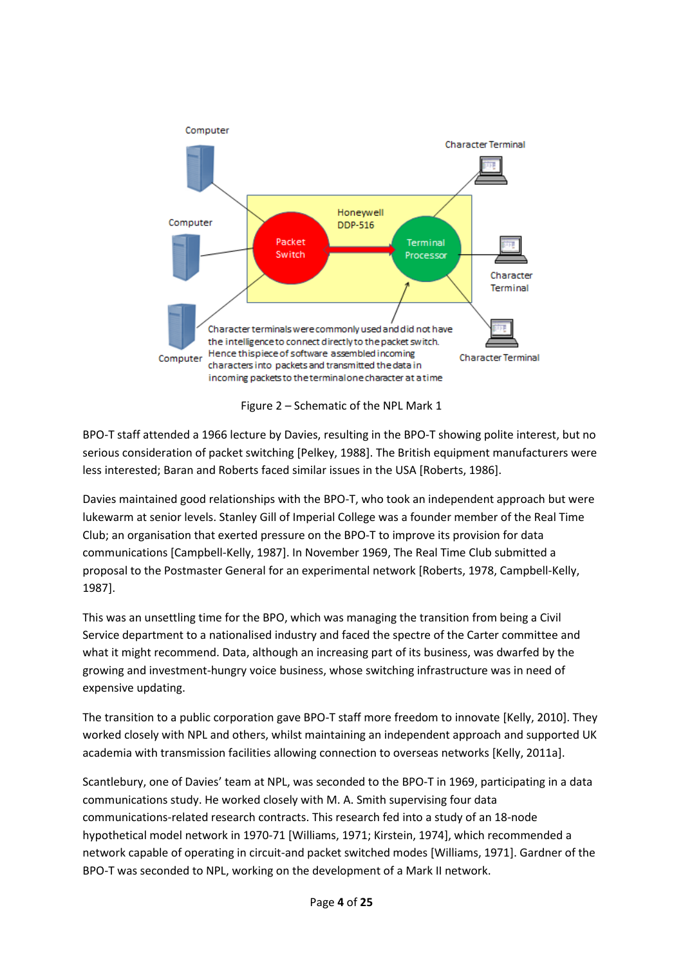



BPO-T staff attended a 1966 lecture by Davies, resulting in the BPO-T showing polite interest, but no serious consideration of packet switching [Pelkey, 1988]. The British equipment manufacturers were less interested; Baran and Roberts faced similar issues in the USA [Roberts, 1986].

Davies maintained good relationships with the BPO-T, who took an independent approach but were lukewarm at senior levels. Stanley Gill of Imperial College was a founder member of the Real Time Club; an organisation that exerted pressure on the BPO-T to improve its provision for data communications [Campbell-Kelly, 1987]. In November 1969, The Real Time Club submitted a proposal to the Postmaster General for an experimental network [Roberts, 1978, Campbell-Kelly, 1987].

This was an unsettling time for the BPO, which was managing the transition from being a Civil Service department to a nationalised industry and faced the spectre of the Carter committee and what it might recommend. Data, although an increasing part of its business, was dwarfed by the growing and investment-hungry voice business, whose switching infrastructure was in need of expensive updating.

The transition to a public corporation gave BPO-T staff more freedom to innovate [Kelly, 2010]. They worked closely with NPL and others, whilst maintaining an independent approach and supported UK academia with transmission facilities allowing connection to overseas networks [Kelly, 2011a].

Scantlebury, one of Davies' team at NPL, was seconded to the BPO-T in 1969, participating in a data communications study. He worked closely with M. A. Smith supervising four data communications-related research contracts. This research fed into a study of an 18-node hypothetical model network in 1970-71 [Williams, 1971; Kirstein, 1974], which recommended a network capable of operating in circuit-and packet switched modes [Williams, 1971]. Gardner of the BPO-T was seconded to NPL, working on the development of a Mark II network.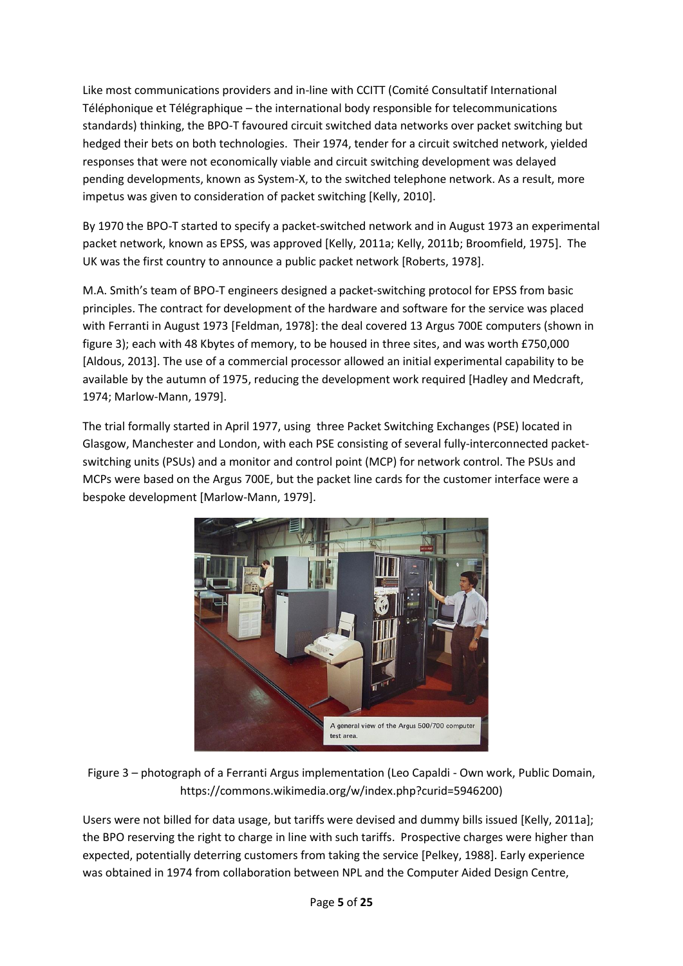Like most communications providers and in-line with CCITT (Comité Consultatif International Téléphonique et Télégraphique – the international body responsible for telecommunications standards) thinking, the BPO-T favoured circuit switched data networks over packet switching but hedged their bets on both technologies. Their 1974, tender for a circuit switched network, yielded responses that were not economically viable and circuit switching development was delayed pending developments, known as System-X, to the switched telephone network. As a result, more impetus was given to consideration of packet switching [Kelly, 2010].

By 1970 the BPO-T started to specify a packet-switched network and in August 1973 an experimental packet network, known as EPSS, was approved [Kelly, 2011a; Kelly, 2011b; Broomfield, 1975]. The UK was the first country to announce a public packet network [Roberts, 1978].

M.A. Smith's team of BPO-T engineers designed a packet-switching protocol for EPSS from basic principles. The contract for development of the hardware and software for the service was placed with Ferranti in August 1973 [Feldman, 1978]: the deal covered 13 Argus 700E computers (shown in figure 3); each with 48 Kbytes of memory, to be housed in three sites, and was worth £750,000 [Aldous, 2013]. The use of a commercial processor allowed an initial experimental capability to be available by the autumn of 1975, reducing the development work required [Hadley and Medcraft, 1974; Marlow-Mann, 1979].

The trial formally started in April 1977, using three Packet Switching Exchanges (PSE) located in Glasgow, Manchester and London, with each PSE consisting of several fully-interconnected packetswitching units (PSUs) and a monitor and control point (MCP) for network control. The PSUs and MCPs were based on the Argus 700E, but the packet line cards for the customer interface were a bespoke development [Marlow-Mann, 1979].



Figure 3 – photograph of a Ferranti Argus implementation (Leo Capaldi - Own work, Public Domain, https://commons.wikimedia.org/w/index.php?curid=5946200)

Users were not billed for data usage, but tariffs were devised and dummy bills issued [Kelly, 2011a]; the BPO reserving the right to charge in line with such tariffs. Prospective charges were higher than expected, potentially deterring customers from taking the service [Pelkey, 1988]. Early experience was obtained in 1974 from collaboration between NPL and the Computer Aided Design Centre,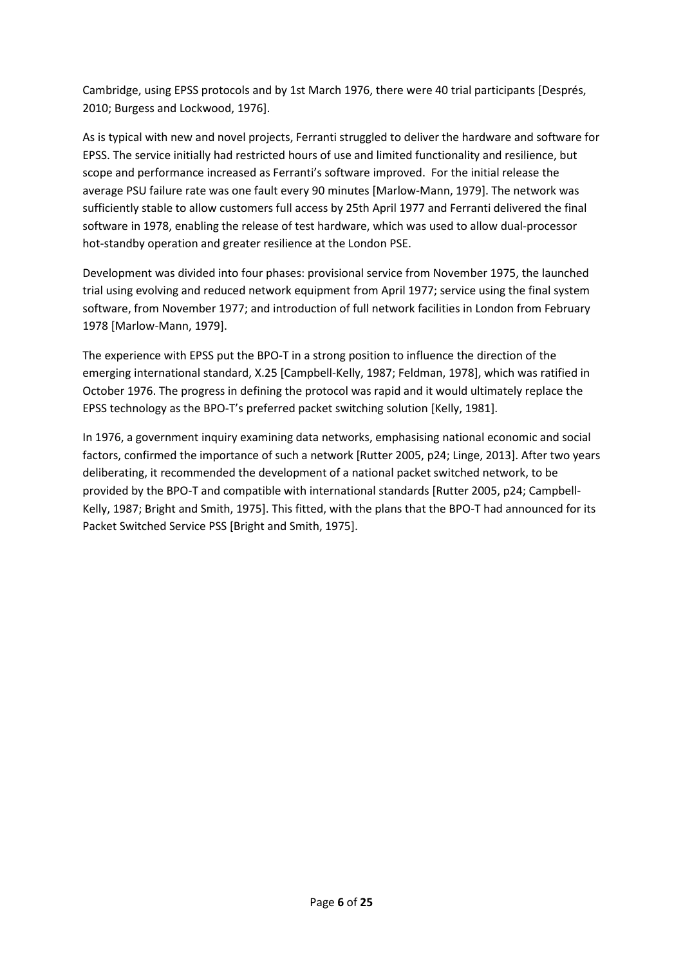Cambridge, using EPSS protocols and by 1st March 1976, there were 40 trial participants [Després, 2010; Burgess and Lockwood, 1976].

As is typical with new and novel projects, Ferranti struggled to deliver the hardware and software for EPSS. The service initially had restricted hours of use and limited functionality and resilience, but scope and performance increased as Ferranti's software improved. For the initial release the average PSU failure rate was one fault every 90 minutes [Marlow-Mann, 1979]. The network was sufficiently stable to allow customers full access by 25th April 1977 and Ferranti delivered the final software in 1978, enabling the release of test hardware, which was used to allow dual-processor hot-standby operation and greater resilience at the London PSE.

Development was divided into four phases: provisional service from November 1975, the launched trial using evolving and reduced network equipment from April 1977; service using the final system software, from November 1977; and introduction of full network facilities in London from February 1978 [Marlow-Mann, 1979].

The experience with EPSS put the BPO-T in a strong position to influence the direction of the emerging international standard, X.25 [Campbell-Kelly, 1987; Feldman, 1978], which was ratified in October 1976. The progress in defining the protocol was rapid and it would ultimately replace the EPSS technology as the BPO-T's preferred packet switching solution [Kelly, 1981].

In 1976, a government inquiry examining data networks, emphasising national economic and social factors, confirmed the importance of such a network [Rutter 2005, p24; Linge, 2013]. After two years deliberating, it recommended the development of a national packet switched network, to be provided by the BPO-T and compatible with international standards [Rutter 2005, p24; Campbell-Kelly, 1987; Bright and Smith, 1975]. This fitted, with the plans that the BPO-T had announced for its Packet Switched Service PSS [Bright and Smith, 1975].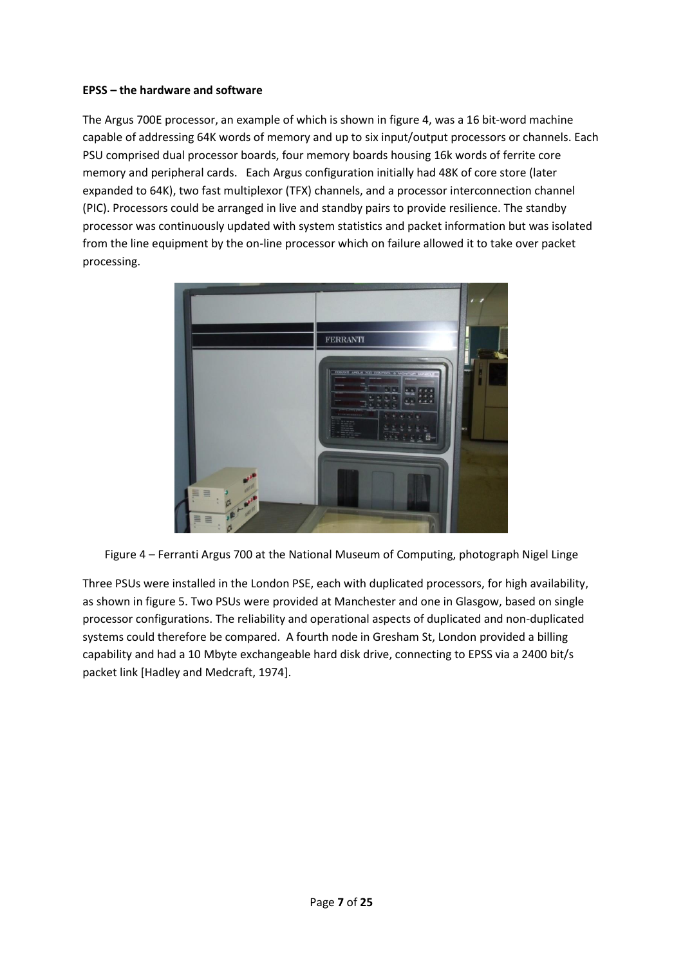#### **EPSS – the hardware and software**

The Argus 700E processor, an example of which is shown in figure 4, was a 16 bit-word machine capable of addressing 64K words of memory and up to six input/output processors or channels. Each PSU comprised dual processor boards, four memory boards housing 16k words of ferrite core memory and peripheral cards. Each Argus configuration initially had 48K of core store (later expanded to 64K), two fast multiplexor (TFX) channels, and a processor interconnection channel (PIC). Processors could be arranged in live and standby pairs to provide resilience. The standby processor was continuously updated with system statistics and packet information but was isolated from the line equipment by the on-line processor which on failure allowed it to take over packet processing.



Figure 4 – Ferranti Argus 700 at the National Museum of Computing, photograph Nigel Linge

Three PSUs were installed in the London PSE, each with duplicated processors, for high availability, as shown in figure 5. Two PSUs were provided at Manchester and one in Glasgow, based on single processor configurations. The reliability and operational aspects of duplicated and non-duplicated systems could therefore be compared. A fourth node in Gresham St, London provided a billing capability and had a 10 Mbyte exchangeable hard disk drive, connecting to EPSS via a 2400 bit/s packet link [Hadley and Medcraft, 1974].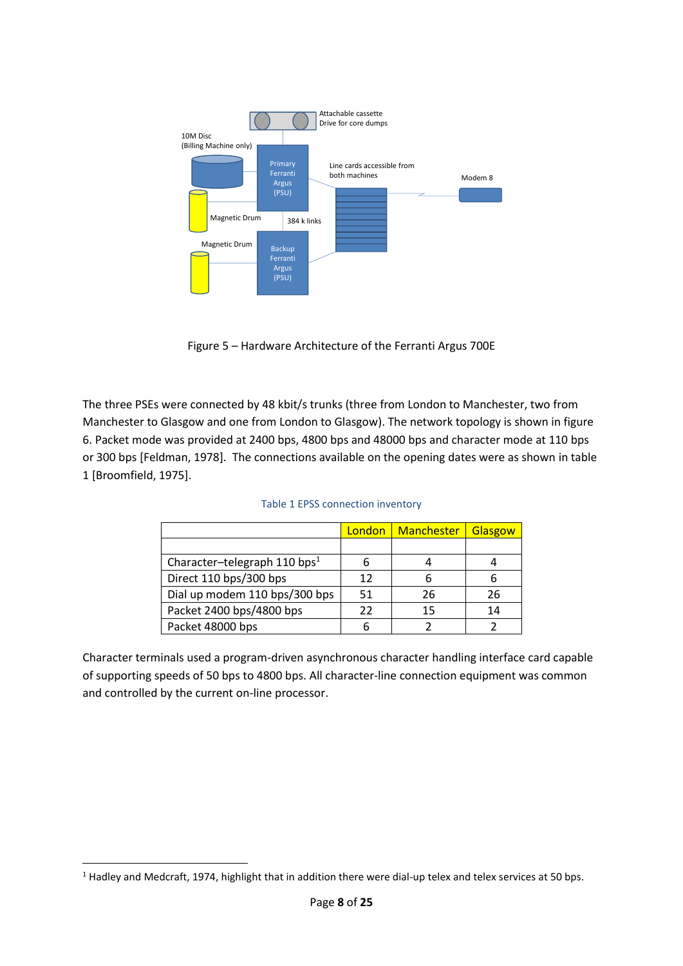

Figure 5 – Hardware Architecture of the Ferranti Argus 700E

The three PSEs were connected by 48 kbit/s trunks (three from London to Manchester, two from Manchester to Glasgow and one from London to Glasgow). The network topology is shown in figure 6. Packet mode was provided at 2400 bps, 4800 bps and 48000 bps and character mode at 110 bps or 300 bps [Feldman, 1978]. The connections available on the opening dates were as shown in table 1 [Broomfield, 1975].

|                                          |    | London   Manchester | Glasgow |
|------------------------------------------|----|---------------------|---------|
|                                          |    |                     |         |
| Character-telegraph 110 bps <sup>1</sup> |    |                     |         |
| Direct 110 bps/300 bps                   | 12 |                     |         |
| Dial up modem 110 bps/300 bps            | 51 | 26                  | 26      |
| Packet 2400 bps/4800 bps                 | 22 | 15                  | 14      |
| Packet 48000 bps                         |    |                     |         |

| Table 1 EPSS connection inventory |  |  |
|-----------------------------------|--|--|
|-----------------------------------|--|--|

Character terminals used a program-driven asynchronous character handling interface card capable of supporting speeds of 50 bps to 4800 bps. All character-line connection equipment was common and controlled by the current on-line processor.

<sup>&</sup>lt;sup>1</sup> Hadley and Medcraft, 1974, highlight that in addition there were dial-up telex and telex services at 50 bps.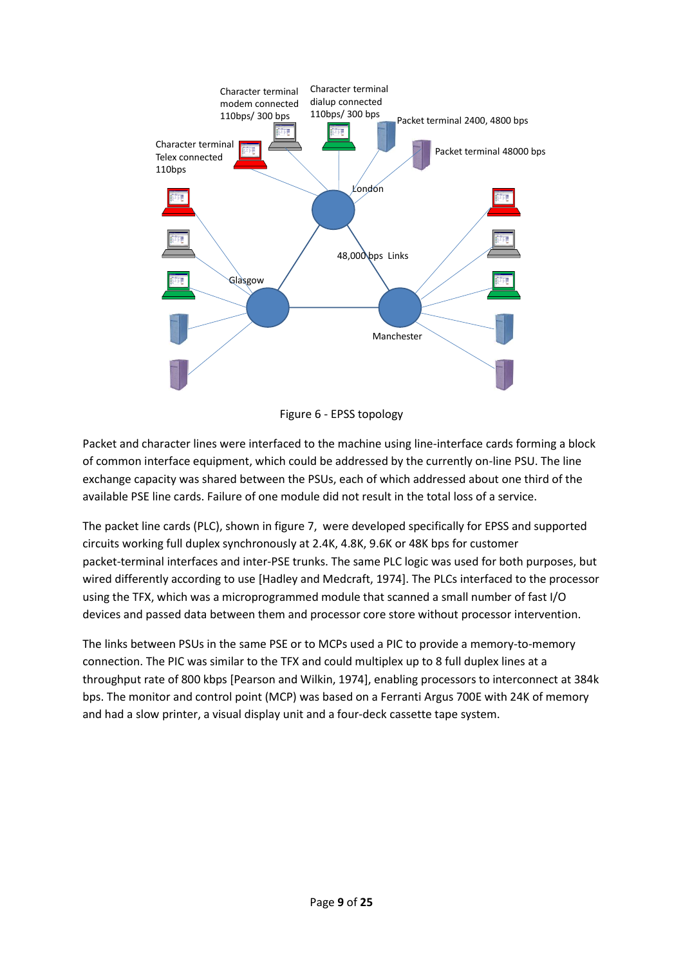

Figure 6 - EPSS topology

Packet and character lines were interfaced to the machine using line-interface cards forming a block of common interface equipment, which could be addressed by the currently on-line PSU. The line exchange capacity was shared between the PSUs, each of which addressed about one third of the available PSE line cards. Failure of one module did not result in the total loss of a service.

The packet line cards (PLC), shown in figure 7, were developed specifically for EPSS and supported circuits working full duplex synchronously at 2.4K, 4.8K, 9.6K or 48K bps for customer packet-terminal interfaces and inter-PSE trunks. The same PLC logic was used for both purposes, but wired differently according to use [Hadley and Medcraft, 1974]. The PLCs interfaced to the processor using the TFX, which was a microprogrammed module that scanned a small number of fast I/O devices and passed data between them and processor core store without processor intervention.

The links between PSUs in the same PSE or to MCPs used a PIC to provide a memory-to-memory connection. The PIC was similar to the TFX and could multiplex up to 8 full duplex lines at a throughput rate of 800 kbps [Pearson and Wilkin, 1974], enabling processors to interconnect at 384k bps. The monitor and control point (MCP) was based on a Ferranti Argus 700E with 24K of memory and had a slow printer, a visual display unit and a four-deck cassette tape system.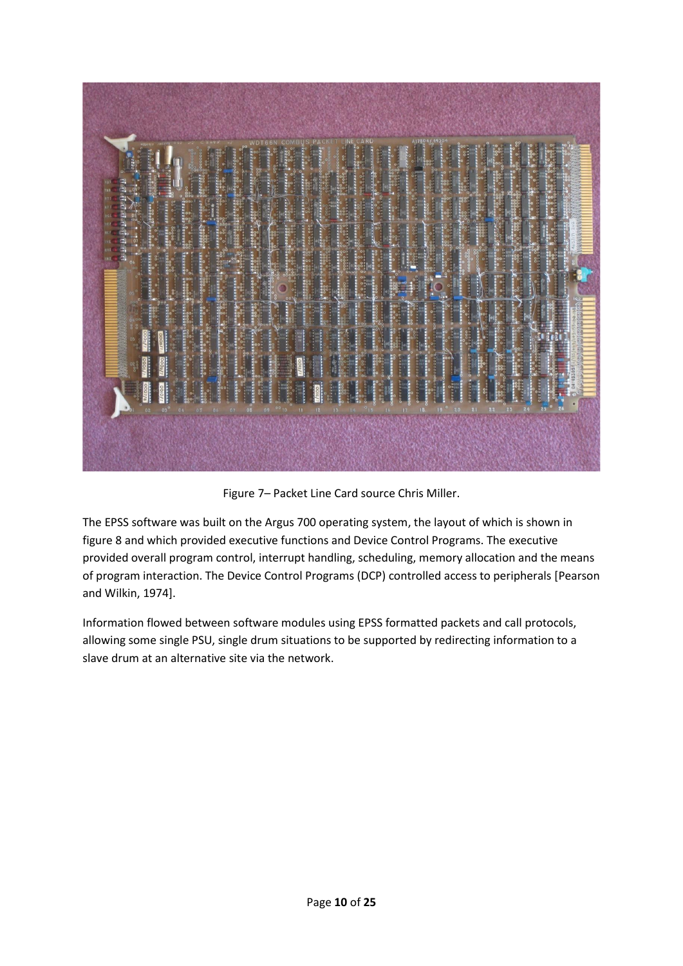

Figure 7– Packet Line Card source Chris Miller.

The EPSS software was built on the Argus 700 operating system, the layout of which is shown in figure 8 and which provided executive functions and Device Control Programs. The executive provided overall program control, interrupt handling, scheduling, memory allocation and the means of program interaction. The Device Control Programs (DCP) controlled access to peripherals [Pearson and Wilkin, 1974].

Information flowed between software modules using EPSS formatted packets and call protocols, allowing some single PSU, single drum situations to be supported by redirecting information to a slave drum at an alternative site via the network.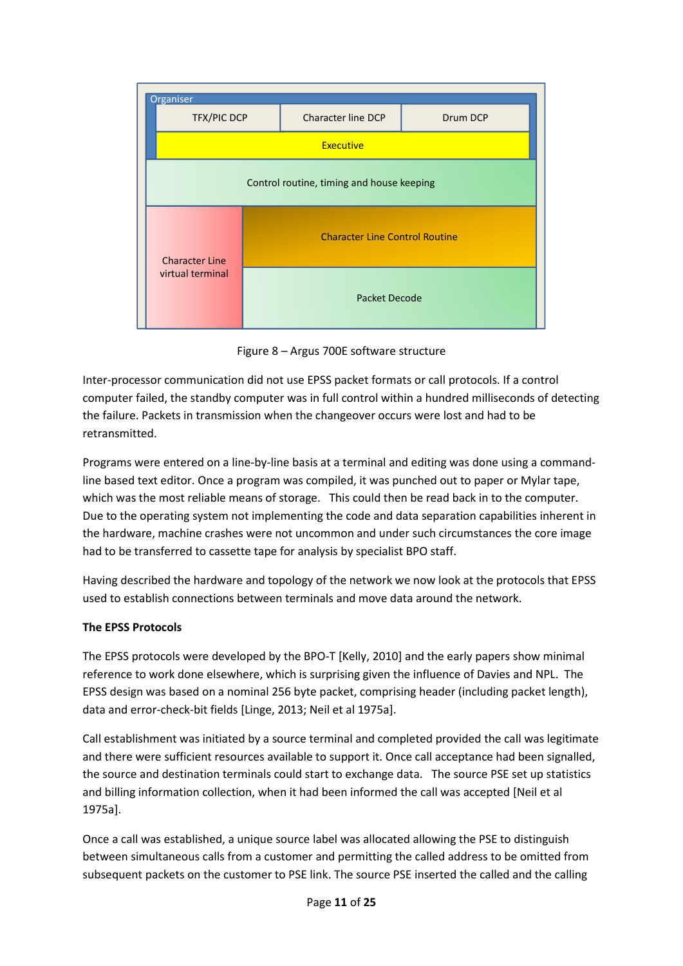

Figure 8 – Argus 700E software structure

Inter-processor communication did not use EPSS packet formats or call protocols. If a control computer failed, the standby computer was in full control within a hundred milliseconds of detecting the failure. Packets in transmission when the changeover occurs were lost and had to be retransmitted.

Programs were entered on a line-by-line basis at a terminal and editing was done using a commandline based text editor. Once a program was compiled, it was punched out to paper or Mylar tape, which was the most reliable means of storage. This could then be read back in to the computer. Due to the operating system not implementing the code and data separation capabilities inherent in the hardware, machine crashes were not uncommon and under such circumstances the core image had to be transferred to cassette tape for analysis by specialist BPO staff.

Having described the hardware and topology of the network we now look at the protocols that EPSS used to establish connections between terminals and move data around the network.

# **The EPSS Protocols**

The EPSS protocols were developed by the BPO-T [Kelly, 2010] and the early papers show minimal reference to work done elsewhere, which is surprising given the influence of Davies and NPL. The EPSS design was based on a nominal 256 byte packet, comprising header (including packet length), data and error-check-bit fields [Linge, 2013; Neil et al 1975a].

Call establishment was initiated by a source terminal and completed provided the call was legitimate and there were sufficient resources available to support it. Once call acceptance had been signalled, the source and destination terminals could start to exchange data. The source PSE set up statistics and billing information collection, when it had been informed the call was accepted [Neil et al 1975a].

Once a call was established, a unique source label was allocated allowing the PSE to distinguish between simultaneous calls from a customer and permitting the called address to be omitted from subsequent packets on the customer to PSE link. The source PSE inserted the called and the calling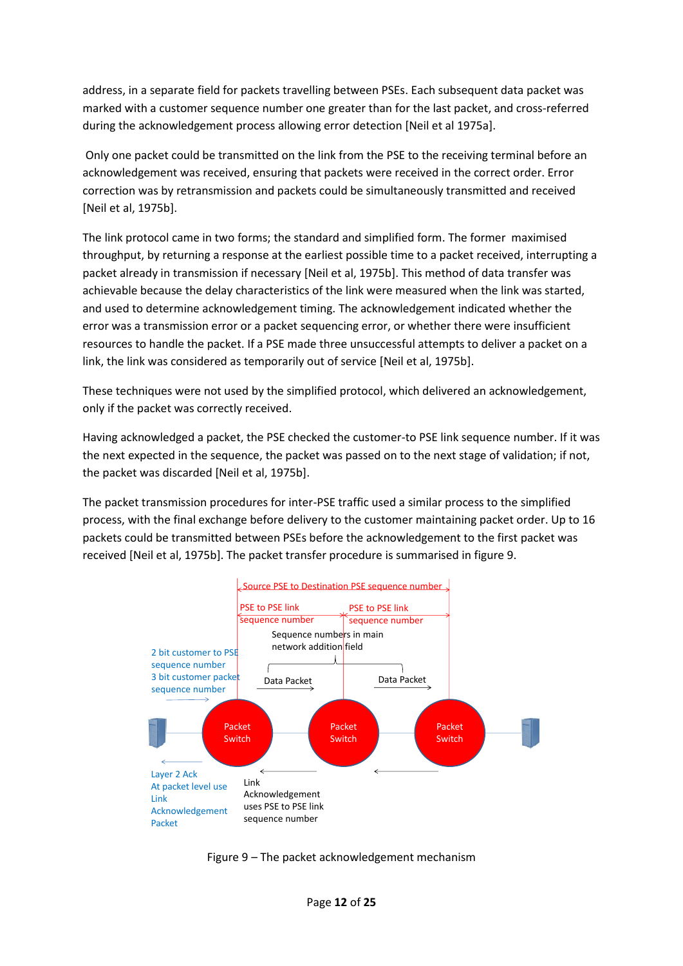address, in a separate field for packets travelling between PSEs. Each subsequent data packet was marked with a customer sequence number one greater than for the last packet, and cross-referred during the acknowledgement process allowing error detection [Neil et al 1975a].

Only one packet could be transmitted on the link from the PSE to the receiving terminal before an acknowledgement was received, ensuring that packets were received in the correct order. Error correction was by retransmission and packets could be simultaneously transmitted and received [Neil et al, 1975b].

The link protocol came in two forms; the standard and simplified form. The former maximised throughput, by returning a response at the earliest possible time to a packet received, interrupting a packet already in transmission if necessary [Neil et al, 1975b]. This method of data transfer was achievable because the delay characteristics of the link were measured when the link was started, and used to determine acknowledgement timing. The acknowledgement indicated whether the error was a transmission error or a packet sequencing error, or whether there were insufficient resources to handle the packet. If a PSE made three unsuccessful attempts to deliver a packet on a link, the link was considered as temporarily out of service [Neil et al, 1975b].

These techniques were not used by the simplified protocol, which delivered an acknowledgement, only if the packet was correctly received.

Having acknowledged a packet, the PSE checked the customer-to PSE link sequence number. If it was the next expected in the sequence, the packet was passed on to the next stage of validation; if not, the packet was discarded [Neil et al, 1975b].

The packet transmission procedures for inter-PSE traffic used a similar process to the simplified process, with the final exchange before delivery to the customer maintaining packet order. Up to 16 packets could be transmitted between PSEs before the acknowledgement to the first packet was received [Neil et al, 1975b]. The packet transfer procedure is summarised in figure 9.



Figure 9 – The packet acknowledgement mechanism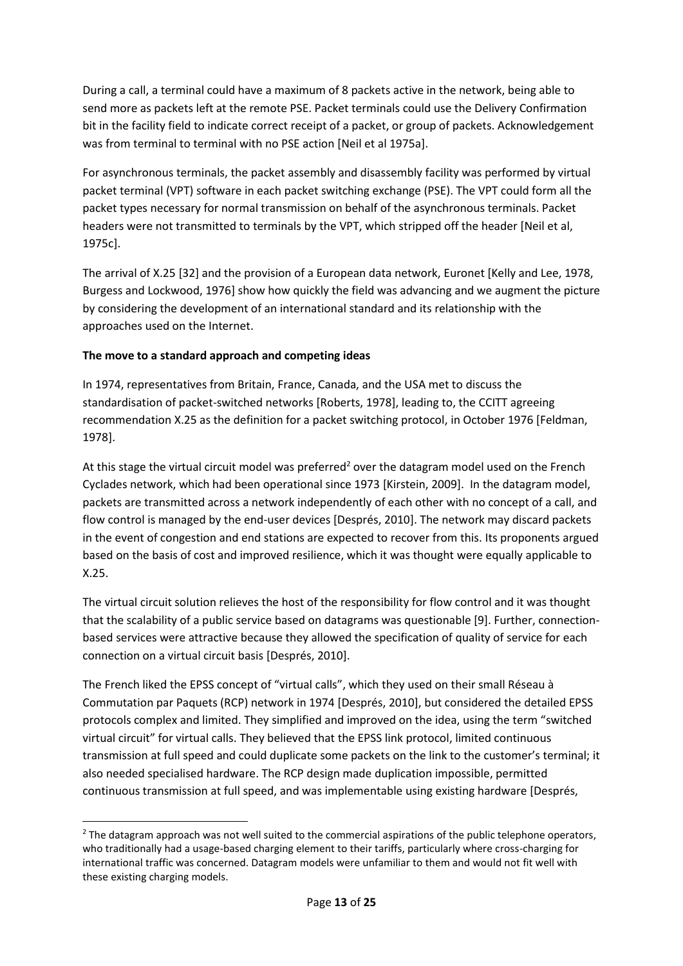During a call, a terminal could have a maximum of 8 packets active in the network, being able to send more as packets left at the remote PSE. Packet terminals could use the Delivery Confirmation bit in the facility field to indicate correct receipt of a packet, or group of packets. Acknowledgement was from terminal to terminal with no PSE action [Neil et al 1975a].

For asynchronous terminals, the packet assembly and disassembly facility was performed by virtual packet terminal (VPT) software in each packet switching exchange (PSE). The VPT could form all the packet types necessary for normal transmission on behalf of the asynchronous terminals. Packet headers were not transmitted to terminals by the VPT, which stripped off the header [Neil et al, 1975c].

The arrival of X.25 [32] and the provision of a European data network, Euronet [Kelly and Lee, 1978, Burgess and Lockwood, 1976] show how quickly the field was advancing and we augment the picture by considering the development of an international standard and its relationship with the approaches used on the Internet.

# **The move to a standard approach and competing ideas**

In 1974, representatives from Britain, France, Canada, and the USA met to discuss the standardisation of packet-switched networks [Roberts, 1978], leading to, the CCITT agreeing recommendation X.25 as the definition for a packet switching protocol, in October 1976 [Feldman, 1978].

At this stage the virtual circuit model was preferred<sup>2</sup> over the datagram model used on the French Cyclades network, which had been operational since 1973 [Kirstein, 2009]. In the datagram model, packets are transmitted across a network independently of each other with no concept of a call, and flow control is managed by the end-user devices [Després, 2010]. The network may discard packets in the event of congestion and end stations are expected to recover from this. Its proponents argued based on the basis of cost and improved resilience, which it was thought were equally applicable to X.25.

The virtual circuit solution relieves the host of the responsibility for flow control and it was thought that the scalability of a public service based on datagrams was questionable [9]. Further, connectionbased services were attractive because they allowed the specification of quality of service for each connection on a virtual circuit basis [Després, 2010].

The French liked the EPSS concept of "virtual calls", which they used on their small Réseau à Commutation par Paquets (RCP) network in 1974 [Després, 2010], but considered the detailed EPSS protocols complex and limited. They simplified and improved on the idea, using the term "switched virtual circuit" for virtual calls. They believed that the EPSS link protocol, limited continuous transmission at full speed and could duplicate some packets on the link to the customer's terminal; it also needed specialised hardware. The RCP design made duplication impossible, permitted continuous transmission at full speed, and was implementable using existing hardware [Després,

 $<sup>2</sup>$  The datagram approach was not well suited to the commercial aspirations of the public telephone operators,</sup> who traditionally had a usage-based charging element to their tariffs, particularly where cross-charging for international traffic was concerned. Datagram models were unfamiliar to them and would not fit well with these existing charging models.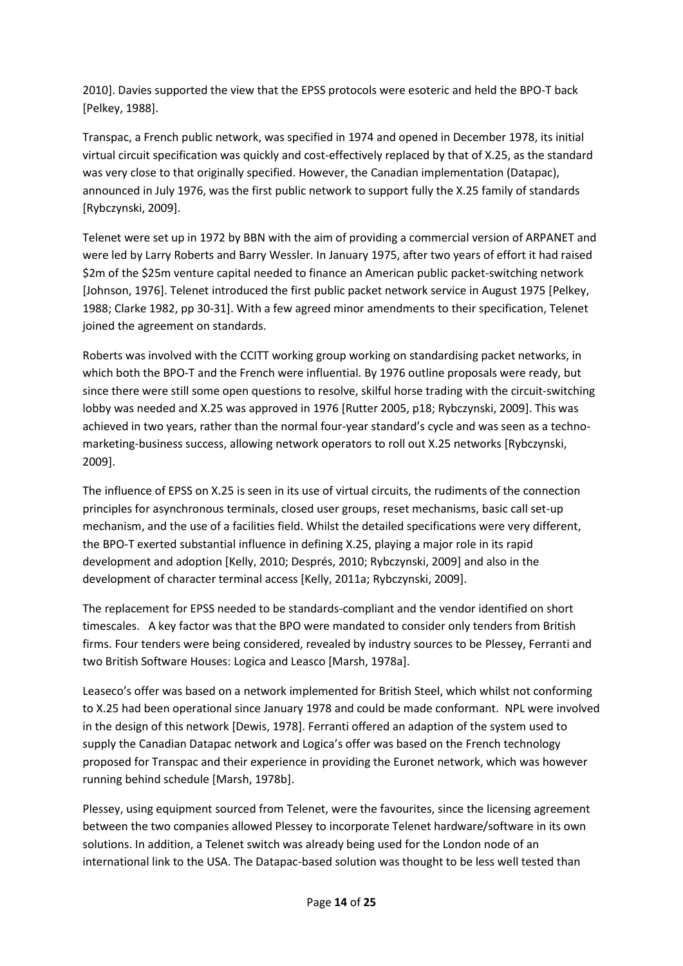2010]. Davies supported the view that the EPSS protocols were esoteric and held the BPO-T back [Pelkey, 1988].

Transpac, a French public network, was specified in 1974 and opened in December 1978, its initial virtual circuit specification was quickly and cost-effectively replaced by that of X.25, as the standard was very close to that originally specified. However, the Canadian implementation (Datapac), announced in July 1976, was the first public network to support fully the X.25 family of standards [Rybczynski, 2009].

Telenet were set up in 1972 by BBN with the aim of providing a commercial version of ARPANET and were led by Larry Roberts and Barry Wessler. In January 1975, after two years of effort it had raised \$2m of the \$25m venture capital needed to finance an American public packet-switching network [Johnson, 1976]. Telenet introduced the first public packet network service in August 1975 [Pelkey, 1988; Clarke 1982, pp 30-31]. With a few agreed minor amendments to their specification, Telenet joined the agreement on standards.

Roberts was involved with the CCITT working group working on standardising packet networks, in which both the BPO-T and the French were influential. By 1976 outline proposals were ready, but since there were still some open questions to resolve, skilful horse trading with the circuit-switching lobby was needed and X.25 was approved in 1976 [Rutter 2005, p18; Rybczynski, 2009]. This was achieved in two years, rather than the normal four-year standard's cycle and was seen as a technomarketing-business success, allowing network operators to roll out X.25 networks [Rybczynski, 2009].

The influence of EPSS on X.25 is seen in its use of virtual circuits, the rudiments of the connection principles for asynchronous terminals, closed user groups, reset mechanisms, basic call set-up mechanism, and the use of a facilities field. Whilst the detailed specifications were very different, the BPO-T exerted substantial influence in defining X.25, playing a major role in its rapid development and adoption [Kelly, 2010; Després, 2010; Rybczynski, 2009] and also in the development of character terminal access [Kelly, 2011a; Rybczynski, 2009].

The replacement for EPSS needed to be standards-compliant and the vendor identified on short timescales. A key factor was that the BPO were mandated to consider only tenders from British firms. Four tenders were being considered, revealed by industry sources to be Plessey, Ferranti and two British Software Houses: Logica and Leasco [Marsh, 1978a].

Leaseco's offer was based on a network implemented for British Steel, which whilst not conforming to X.25 had been operational since January 1978 and could be made conformant. NPL were involved in the design of this network [Dewis, 1978]. Ferranti offered an adaption of the system used to supply the Canadian Datapac network and Logica's offer was based on the French technology proposed for Transpac and their experience in providing the Euronet network, which was however running behind schedule [Marsh, 1978b].

Plessey, using equipment sourced from Telenet, were the favourites, since the licensing agreement between the two companies allowed Plessey to incorporate Telenet hardware/software in its own solutions. In addition, a Telenet switch was already being used for the London node of an international link to the USA. The Datapac-based solution was thought to be less well tested than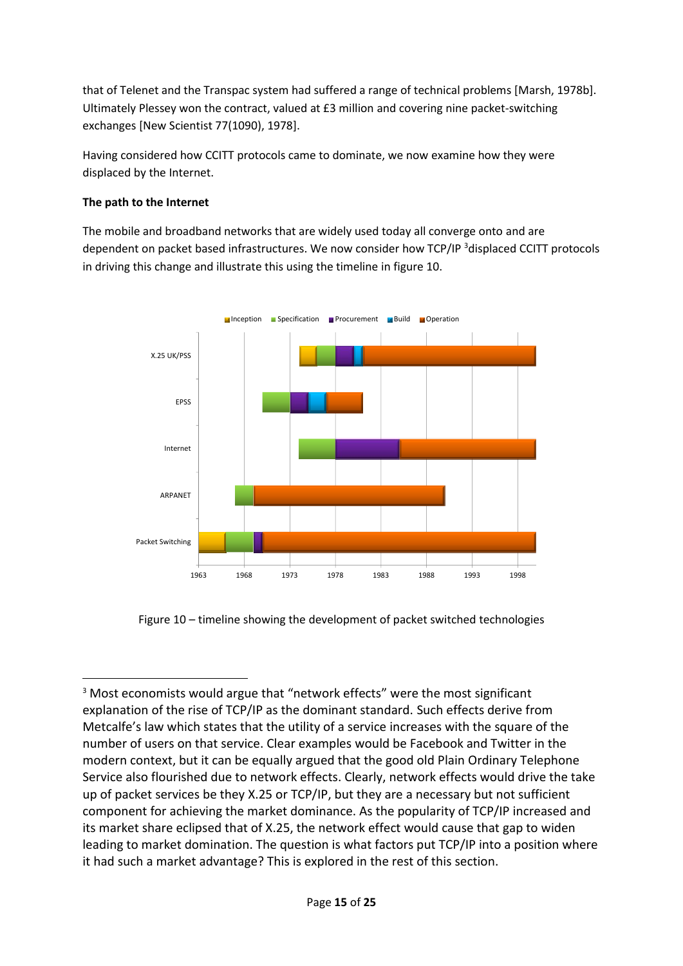that of Telenet and the Transpac system had suffered a range of technical problems [Marsh, 1978b]. Ultimately Plessey won the contract, valued at £3 million and covering nine packet-switching exchanges [New Scientist 77(1090), 1978].

Having considered how CCITT protocols came to dominate, we now examine how they were displaced by the Internet.

# **The path to the Internet**

The mobile and broadband networks that are widely used today all converge onto and are dependent on packet based infrastructures. We now consider how TCP/IP <sup>3</sup>displaced CCITT protocols in driving this change and illustrate this using the timeline in figure 10.



Figure 10 – timeline showing the development of packet switched technologies

<sup>&</sup>lt;sup>3</sup> Most economists would argue that "network effects" were the most significant explanation of the rise of TCP/IP as the dominant standard. Such effects derive from Metcalfe's law which states that the utility of a service increases with the square of the number of users on that service. Clear examples would be Facebook and Twitter in the modern context, but it can be equally argued that the good old Plain Ordinary Telephone Service also flourished due to network effects. Clearly, network effects would drive the take up of packet services be they X.25 or TCP/IP, but they are a necessary but not sufficient component for achieving the market dominance. As the popularity of TCP/IP increased and its market share eclipsed that of X.25, the network effect would cause that gap to widen leading to market domination. The question is what factors put TCP/IP into a position where it had such a market advantage? This is explored in the rest of this section.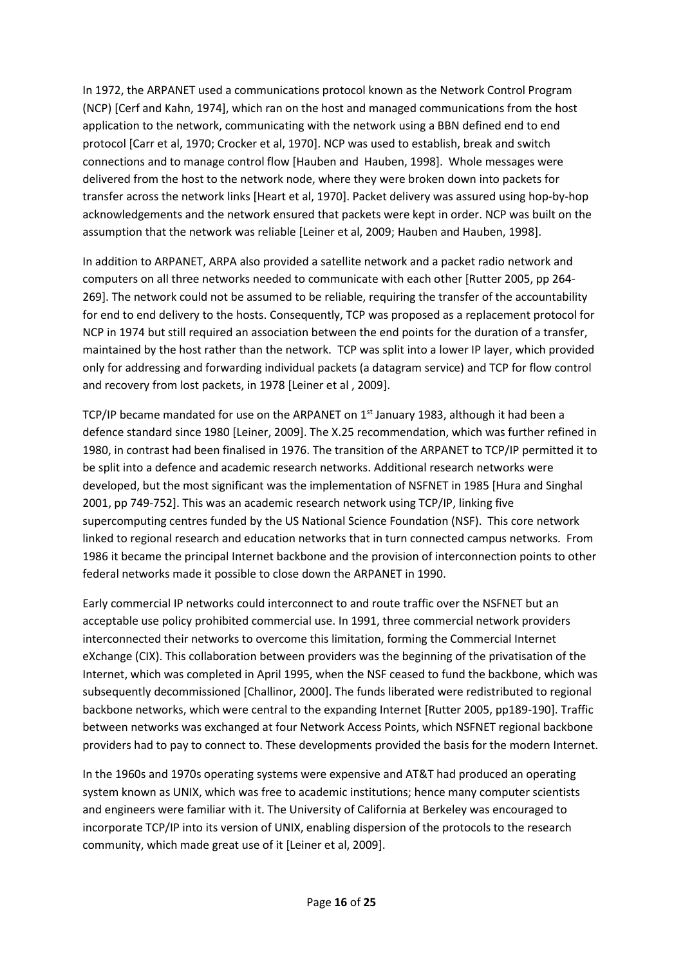In 1972, the ARPANET used a communications protocol known as the Network Control Program (NCP) [Cerf and Kahn, 1974], which ran on the host and managed communications from the host application to the network, communicating with the network using a BBN defined end to end protocol [Carr et al, 1970; Crocker et al, 1970]. NCP was used to establish, break and switch connections and to manage control flow [Hauben and Hauben, 1998]. Whole messages were delivered from the host to the network node, where they were broken down into packets for transfer across the network links [Heart et al, 1970]. Packet delivery was assured using hop-by-hop acknowledgements and the network ensured that packets were kept in order. NCP was built on the assumption that the network was reliable [Leiner et al, 2009; Hauben and Hauben, 1998].

In addition to ARPANET, ARPA also provided a satellite network and a packet radio network and computers on all three networks needed to communicate with each other [Rutter 2005, pp 264- 269]. The network could not be assumed to be reliable, requiring the transfer of the accountability for end to end delivery to the hosts. Consequently, TCP was proposed as a replacement protocol for NCP in 1974 but still required an association between the end points for the duration of a transfer, maintained by the host rather than the network. TCP was split into a lower IP layer, which provided only for addressing and forwarding individual packets (a datagram service) and TCP for flow control and recovery from lost packets, in 1978 [Leiner et al , 2009].

TCP/IP became mandated for use on the ARPANET on 1<sup>st</sup> January 1983, although it had been a defence standard since 1980 [Leiner, 2009]. The X.25 recommendation, which was further refined in 1980, in contrast had been finalised in 1976. The transition of the ARPANET to TCP/IP permitted it to be split into a defence and academic research networks. Additional research networks were developed, but the most significant was the implementation of NSFNET in 1985 [Hura and Singhal 2001, pp 749-752]. This was an academic research network using TCP/IP, linking five supercomputing centres funded by the US National Science Foundation (NSF). This core network linked to regional research and education networks that in turn connected campus networks. From 1986 it became the principal Internet backbone and the provision of interconnection points to other federal networks made it possible to close down the ARPANET in 1990.

Early commercial IP networks could interconnect to and route traffic over the NSFNET but an acceptable use policy prohibited commercial use. In 1991, three commercial network providers interconnected their networks to overcome this limitation, forming the Commercial Internet eXchange (CIX). This collaboration between providers was the beginning of the privatisation of the Internet, which was completed in April 1995, when the NSF ceased to fund the backbone, which was subsequently decommissioned [Challinor, 2000]. The funds liberated were redistributed to regional backbone networks, which were central to the expanding Internet [Rutter 2005, pp189-190]. Traffic between networks was exchanged at four Network Access Points, which NSFNET regional backbone providers had to pay to connect to. These developments provided the basis for the modern Internet.

In the 1960s and 1970s operating systems were expensive and AT&T had produced an operating system known as UNIX, which was free to academic institutions; hence many computer scientists and engineers were familiar with it. The University of California at Berkeley was encouraged to incorporate TCP/IP into its version of UNIX, enabling dispersion of the protocols to the research community, which made great use of it [Leiner et al, 2009].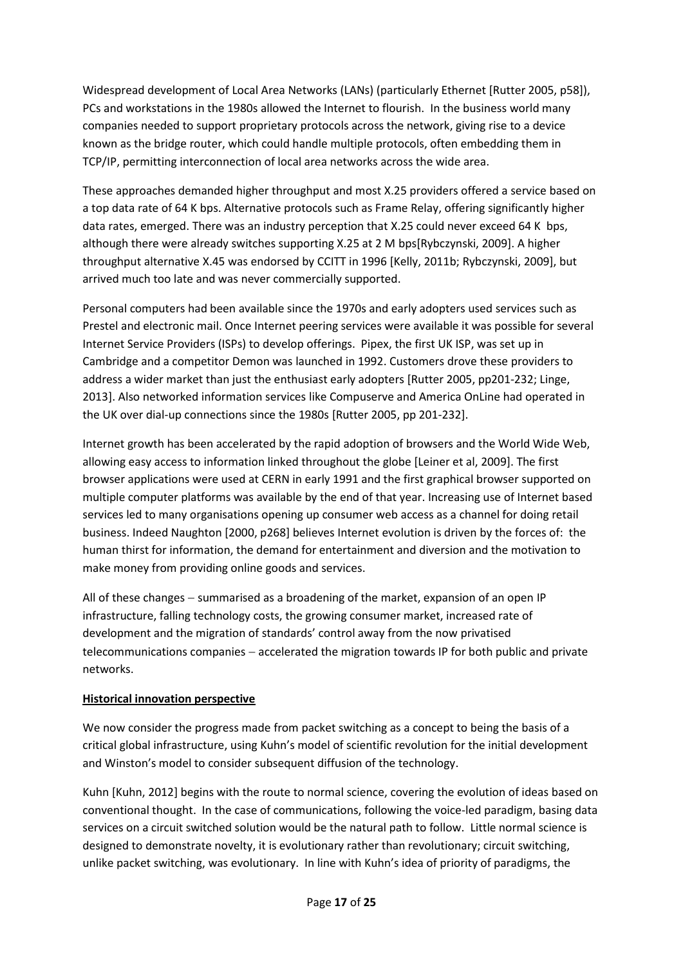Widespread development of Local Area Networks (LANs) (particularly Ethernet [Rutter 2005, p58]), PCs and workstations in the 1980s allowed the Internet to flourish. In the business world many companies needed to support proprietary protocols across the network, giving rise to a device known as the bridge router, which could handle multiple protocols, often embedding them in TCP/IP, permitting interconnection of local area networks across the wide area.

These approaches demanded higher throughput and most X.25 providers offered a service based on a top data rate of 64 K bps. Alternative protocols such as Frame Relay, offering significantly higher data rates, emerged. There was an industry perception that X.25 could never exceed 64 K bps, although there were already switches supporting X.25 at 2 M bps[Rybczynski, 2009]. A higher throughput alternative X.45 was endorsed by CCITT in 1996 [Kelly, 2011b; Rybczynski, 2009], but arrived much too late and was never commercially supported.

Personal computers had been available since the 1970s and early adopters used services such as Prestel and electronic mail. Once Internet peering services were available it was possible for several Internet Service Providers (ISPs) to develop offerings. Pipex, the first UK ISP, was set up in Cambridge and a competitor Demon was launched in 1992. Customers drove these providers to address a wider market than just the enthusiast early adopters [Rutter 2005, pp201-232; Linge, 2013]. Also networked information services like Compuserve and America OnLine had operated in the UK over dial-up connections since the 1980s [Rutter 2005, pp 201-232].

Internet growth has been accelerated by the rapid adoption of browsers and the World Wide Web, allowing easy access to information linked throughout the globe [Leiner et al, 2009]. The first browser applications were used at CERN in early 1991 and the first graphical browser supported on multiple computer platforms was available by the end of that year. Increasing use of Internet based services led to many organisations opening up consumer web access as a channel for doing retail business. Indeed Naughton [2000, p268] believes Internet evolution is driven by the forces of: the human thirst for information, the demand for entertainment and diversion and the motivation to make money from providing online goods and services.

All of these changes − summarised as a broadening of the market, expansion of an open IP infrastructure, falling technology costs, the growing consumer market, increased rate of development and the migration of standards' control away from the now privatised telecommunications companies − accelerated the migration towards IP for both public and private networks.

### **Historical innovation perspective**

We now consider the progress made from packet switching as a concept to being the basis of a critical global infrastructure, using Kuhn's model of scientific revolution for the initial development and Winston's model to consider subsequent diffusion of the technology.

Kuhn [Kuhn, 2012] begins with the route to normal science, covering the evolution of ideas based on conventional thought. In the case of communications, following the voice-led paradigm, basing data services on a circuit switched solution would be the natural path to follow. Little normal science is designed to demonstrate novelty, it is evolutionary rather than revolutionary; circuit switching, unlike packet switching, was evolutionary. In line with Kuhn's idea of priority of paradigms, the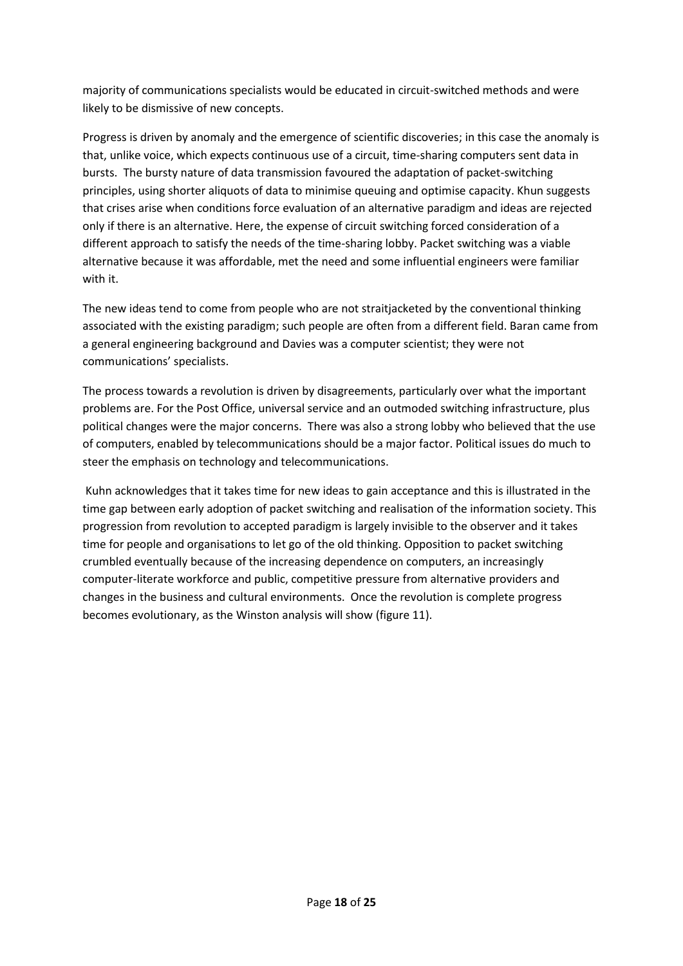majority of communications specialists would be educated in circuit-switched methods and were likely to be dismissive of new concepts.

Progress is driven by anomaly and the emergence of scientific discoveries; in this case the anomaly is that, unlike voice, which expects continuous use of a circuit, time-sharing computers sent data in bursts. The bursty nature of data transmission favoured the adaptation of packet-switching principles, using shorter aliquots of data to minimise queuing and optimise capacity. Khun suggests that crises arise when conditions force evaluation of an alternative paradigm and ideas are rejected only if there is an alternative. Here, the expense of circuit switching forced consideration of a different approach to satisfy the needs of the time-sharing lobby. Packet switching was a viable alternative because it was affordable, met the need and some influential engineers were familiar with it.

The new ideas tend to come from people who are not straitjacketed by the conventional thinking associated with the existing paradigm; such people are often from a different field. Baran came from a general engineering background and Davies was a computer scientist; they were not communications' specialists.

The process towards a revolution is driven by disagreements, particularly over what the important problems are. For the Post Office, universal service and an outmoded switching infrastructure, plus political changes were the major concerns. There was also a strong lobby who believed that the use of computers, enabled by telecommunications should be a major factor. Political issues do much to steer the emphasis on technology and telecommunications.

Kuhn acknowledges that it takes time for new ideas to gain acceptance and this is illustrated in the time gap between early adoption of packet switching and realisation of the information society. This progression from revolution to accepted paradigm is largely invisible to the observer and it takes time for people and organisations to let go of the old thinking. Opposition to packet switching crumbled eventually because of the increasing dependence on computers, an increasingly computer-literate workforce and public, competitive pressure from alternative providers and changes in the business and cultural environments. Once the revolution is complete progress becomes evolutionary, as the Winston analysis will show (figure 11).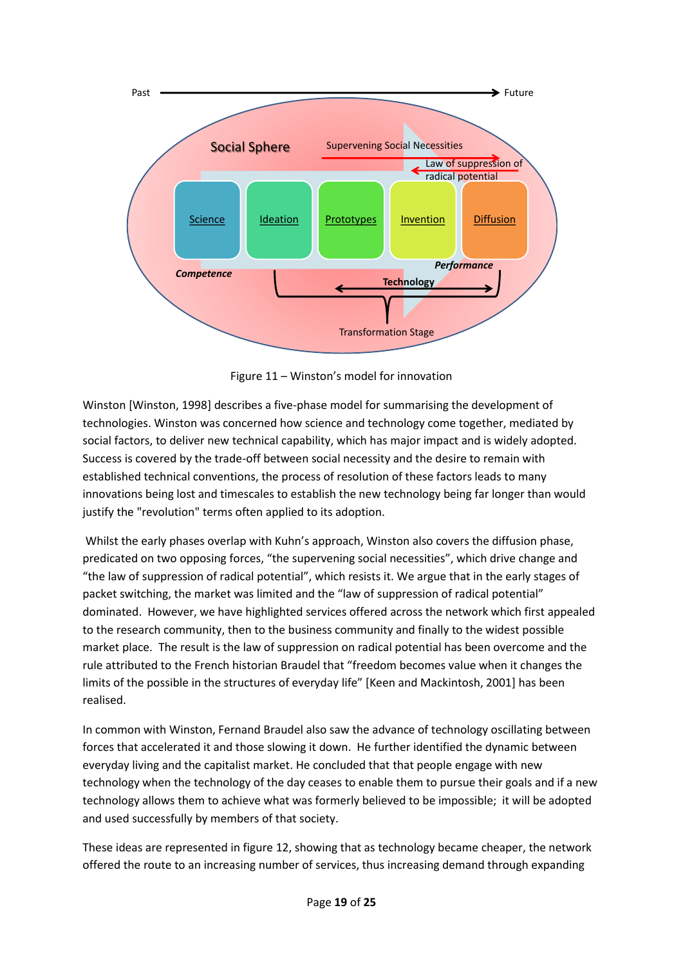

Figure 11 – Winston's model for innovation

Winston [Winston, 1998] describes a five-phase model for summarising the development of technologies. Winston was concerned how science and technology come together, mediated by social factors, to deliver new technical capability, which has major impact and is widely adopted. Success is covered by the trade-off between social necessity and the desire to remain with established technical conventions, the process of resolution of these factors leads to many innovations being lost and timescales to establish the new technology being far longer than would justify the "revolution" terms often applied to its adoption.

Whilst the early phases overlap with Kuhn's approach, Winston also covers the diffusion phase, predicated on two opposing forces, "the supervening social necessities", which drive change and "the law of suppression of radical potential", which resists it. We argue that in the early stages of packet switching, the market was limited and the "law of suppression of radical potential" dominated. However, we have highlighted services offered across the network which first appealed to the research community, then to the business community and finally to the widest possible market place. The result is the law of suppression on radical potential has been overcome and the rule attributed to the French historian Braudel that "freedom becomes value when it changes the limits of the possible in the structures of everyday life" [Keen and Mackintosh, 2001] has been realised.

In common with Winston, Fernand Braudel also saw the advance of technology oscillating between forces that accelerated it and those slowing it down. He further identified the dynamic between everyday living and the capitalist market. He concluded that that people engage with new technology when the technology of the day ceases to enable them to pursue their goals and if a new technology allows them to achieve what was formerly believed to be impossible; it will be adopted and used successfully by members of that society.

These ideas are represented in figure 12, showing that as technology became cheaper, the network offered the route to an increasing number of services, thus increasing demand through expanding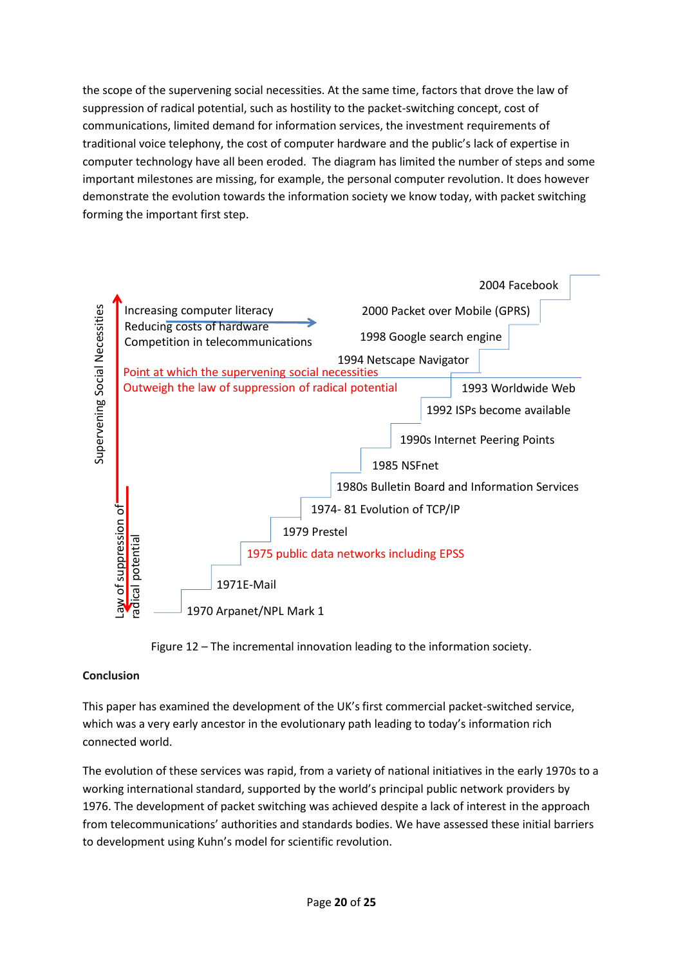the scope of the supervening social necessities. At the same time, factors that drove the law of suppression of radical potential, such as hostility to the packet-switching concept, cost of communications, limited demand for information services, the investment requirements of traditional voice telephony, the cost of computer hardware and the public's lack of expertise in computer technology have all been eroded. The diagram has limited the number of steps and some important milestones are missing, for example, the personal computer revolution. It does however demonstrate the evolution towards the information society we know today, with packet switching forming the important first step.



Figure 12 – The incremental innovation leading to the information society.

# **Conclusion**

This paper has examined the development of the UK's first commercial packet-switched service, which was a very early ancestor in the evolutionary path leading to today's information rich connected world.

The evolution of these services was rapid, from a variety of national initiatives in the early 1970s to a working international standard, supported by the world's principal public network providers by 1976. The development of packet switching was achieved despite a lack of interest in the approach from telecommunications' authorities and standards bodies. We have assessed these initial barriers to development using Kuhn's model for scientific revolution.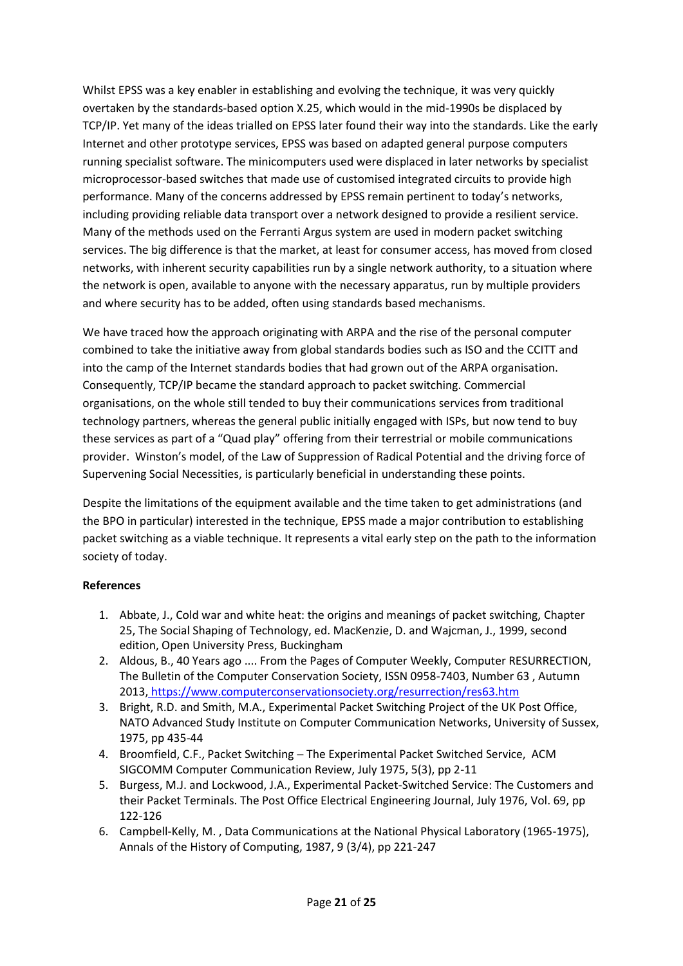Whilst EPSS was a key enabler in establishing and evolving the technique, it was very quickly overtaken by the standards-based option X.25, which would in the mid-1990s be displaced by TCP/IP. Yet many of the ideas trialled on EPSS later found their way into the standards. Like the early Internet and other prototype services, EPSS was based on adapted general purpose computers running specialist software. The minicomputers used were displaced in later networks by specialist microprocessor-based switches that made use of customised integrated circuits to provide high performance. Many of the concerns addressed by EPSS remain pertinent to today's networks, including providing reliable data transport over a network designed to provide a resilient service. Many of the methods used on the Ferranti Argus system are used in modern packet switching services. The big difference is that the market, at least for consumer access, has moved from closed networks, with inherent security capabilities run by a single network authority, to a situation where the network is open, available to anyone with the necessary apparatus, run by multiple providers and where security has to be added, often using standards based mechanisms.

We have traced how the approach originating with ARPA and the rise of the personal computer combined to take the initiative away from global standards bodies such as ISO and the CCITT and into the camp of the Internet standards bodies that had grown out of the ARPA organisation. Consequently, TCP/IP became the standard approach to packet switching. Commercial organisations, on the whole still tended to buy their communications services from traditional technology partners, whereas the general public initially engaged with ISPs, but now tend to buy these services as part of a "Quad play" offering from their terrestrial or mobile communications provider. Winston's model, of the Law of Suppression of Radical Potential and the driving force of Supervening Social Necessities, is particularly beneficial in understanding these points.

Despite the limitations of the equipment available and the time taken to get administrations (and the BPO in particular) interested in the technique, EPSS made a major contribution to establishing packet switching as a viable technique. It represents a vital early step on the path to the information society of today.

### **References**

- 1. Abbate, J., Cold war and white heat: the origins and meanings of packet switching, Chapter 25, The Social Shaping of Technology, ed. MacKenzie, D. and Wajcman, J., 1999, second edition, Open University Press, Buckingham
- 2. Aldous, B., 40 Years ago [.... From the Pages of Computer Weekly, Computer RESURRECTION,](https://www.computerconservationsociety.org/resurrection/res63.htm)  [The Bulletin of the Computer Conservation Society, ISSN 0958-7403, Number 63 , Autumn](https://www.computerconservationsociety.org/resurrection/res63.htm)  2013, <https://www.computerconservationsociety.org/resurrection/res63.htm>
- 3. Bright, R.D. and Smith, M.A., Experimental Packet Switching Project of the UK Post Office, NATO Advanced Study Institute on Computer Communication Networks, University of Sussex, 1975, pp 435-44
- 4. Broomfield, C.F., Packet Switching − The Experimental Packet Switched Service, ACM SIGCOMM Computer Communication Review, July 1975, 5(3), pp 2-11
- 5. Burgess, M.J. and Lockwood, J.A., Experimental Packet-Switched Service: The Customers and their Packet Terminals. The Post Office Electrical Engineering Journal, July 1976, Vol. 69, pp 122-126
- 6. Campbell-Kelly, M. , Data Communications at the National Physical Laboratory (1965-1975), Annals of the History of Computing, 1987, 9 (3/4), pp 221-247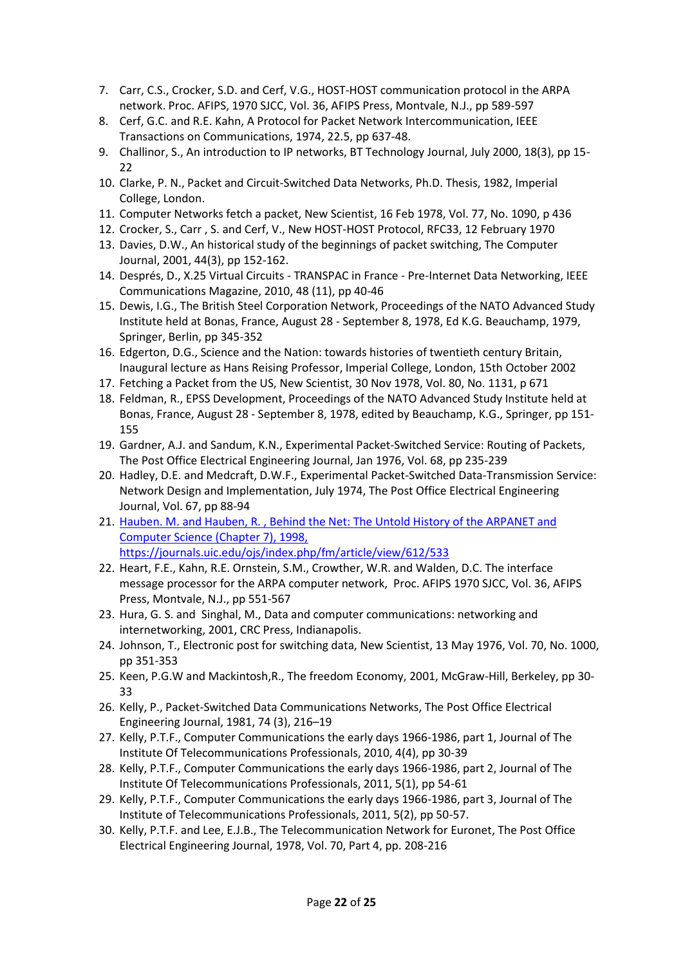- 7. Carr, C.S., Crocker, S.D. and Cerf, V.G., HOST-HOST communication protocol in the ARPA network. Proc. AFIPS, 1970 SJCC, Vol. 36, AFIPS Press, Montvale, N.J., pp 589-597
- 8. Cerf, G.C. and R.E. Kahn, A Protocol for Packet Network Intercommunication, IEEE Transactions on Communications, 1974, 22.5, pp 637-48.
- 9. Challinor, S., An introduction to IP networks, BT Technology Journal, July 2000, 18(3), pp 15-  $22$
- 10. Clarke, P. N., Packet and Circuit-Switched Data Networks, Ph.D. Thesis, 1982, Imperial College, London.
- 11. Computer Networks fetch a packet, New Scientist, 16 Feb 1978, Vol. 77, No. 1090, p 436
- 12. Crocker, S., Carr , S. and Cerf, V., New HOST-HOST Protocol, RFC33, 12 February 1970
- 13. Davies, D.W., An historical study of the beginnings of packet switching, The Computer Journal, 2001, 44(3), pp 152-162.
- 14. Després, D., X.25 Virtual Circuits TRANSPAC in France Pre-Internet Data Networking, IEEE Communications Magazine, 2010, 48 (11), pp 40-46
- 15. Dewis, I.G., The British Steel Corporation Network, Proceedings of the NATO Advanced Study Institute held at Bonas, France, August 28 - September 8, 1978, Ed K.G. Beauchamp, 1979, Springer, Berlin, pp 345-352
- 16. Edgerton, D.G., Science and the Nation: towards histories of twentieth century Britain, Inaugural lecture as Hans Reising Professor, Imperial College, London, 15th October 2002
- 17. Fetching a Packet from the US, New Scientist, 30 Nov 1978, Vol. 80, No. 1131, p 671
- 18. Feldman, R., EPSS Development, Proceedings of the NATO Advanced Study Institute held at Bonas, France, August 28 - September 8, 1978, edited by Beauchamp, K.G., Springer, pp 151- 155
- 19. Gardner, A.J. and Sandum, K.N., Experimental Packet-Switched Service: Routing of Packets, The Post Office Electrical Engineering Journal, Jan 1976, Vol. 68, pp 235-239
- 20. Hadley, D.E. and Medcraft, D.W.F., Experimental Packet-Switched Data-Transmission Service: Network Design and Implementation, July 1974, The Post Office Electrical Engineering Journal, Vol. 67, pp 88-94
- 21. Hauben. M. [and Hauben, R. , Behind the Net: The Untold History of the ARPANET and](file:///C:/Users/Edward.eas_hp_pc/Documents/EPSS/Hauben.%20M.%20and%20Hauben,%20R.%20,%20Behind%20the%20Net:%20The%20Untold%20History%20of%20the%20ARPANET%20and%20Computer%20Science%20(Chapter%207),%201998,%20https:/journals.uic.edu/ojs/index.php/fm/article/view/612/533)  [Computer Science \(Chapter 7\), 1998,](file:///C:/Users/Edward.eas_hp_pc/Documents/EPSS/Hauben.%20M.%20and%20Hauben,%20R.%20,%20Behind%20the%20Net:%20The%20Untold%20History%20of%20the%20ARPANET%20and%20Computer%20Science%20(Chapter%207),%201998,%20https:/journals.uic.edu/ojs/index.php/fm/article/view/612/533)  [https://journals.uic.edu/ojs/index.php/fm/article/view/612/533](file:///C:/Users/Edward.eas_hp_pc/Documents/EPSS/Hauben.%20M.%20and%20Hauben,%20R.%20,%20Behind%20the%20Net:%20The%20Untold%20History%20of%20the%20ARPANET%20and%20Computer%20Science%20(Chapter%207),%201998,%20https:/journals.uic.edu/ojs/index.php/fm/article/view/612/533)
- 22. Heart, F.E., Kahn, R.E. Ornstein, S.M., Crowther, W.R. and Walden, D.C. The interface message processor for the ARPA computer network, Proc. AFIPS 1970 SJCC, Vol. 36, AFIPS Press, Montvale, N.J., pp 551-567
- 23. Hura, G. S. and Singhal, M., Data and computer communications: networking and internetworking, 2001, CRC Press, Indianapolis.
- 24. Johnson, T., Electronic post for switching data, New Scientist, 13 May 1976, Vol. 70, No. 1000, pp 351-353
- 25. Keen, P.G.W and Mackintosh,R., The freedom Economy, 2001, McGraw-Hill, Berkeley, pp 30- 33
- 26. Kelly, P., Packet-Switched Data Communications Networks, The Post Office Electrical Engineering Journal, 1981, 74 (3), 216–19
- 27. Kelly, P.T.F., Computer Communications the early days 1966-1986, part 1, Journal of The Institute Of Telecommunications Professionals, 2010, 4(4), pp 30-39
- 28. Kelly, P.T.F., Computer Communications the early days 1966-1986, part 2, Journal of The Institute Of Telecommunications Professionals, 2011, 5(1), pp 54-61
- 29. Kelly, P.T.F., Computer Communications the early days 1966-1986, part 3, Journal of The Institute of Telecommunications Professionals, 2011, 5(2), pp 50-57.
- 30. Kelly, P.T.F. and Lee, E.J.B., The Telecommunication Network for Euronet, The Post Office Electrical Engineering Journal, 1978, Vol. 70, Part 4, pp. 208-216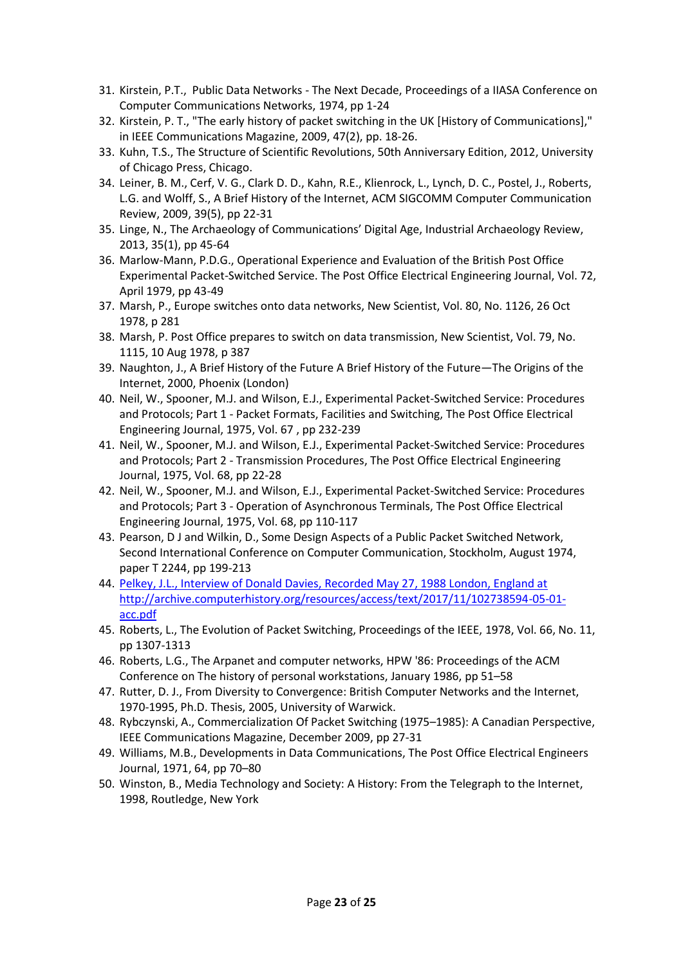- 31. Kirstein, P.T., Public Data Networks The Next Decade, Proceedings of a IIASA Conference on Computer Communications Networks, 1974, pp 1-24
- 32. Kirstein, P. T., "The early history of packet switching in the UK [History of Communications]," in IEEE Communications Magazine, 2009, 47(2), pp. 18-26.
- 33. Kuhn, T.S., The Structure of Scientific Revolutions, 50th Anniversary Edition, 2012, University of Chicago Press, Chicago.
- 34. Leiner, B. M., Cerf, V. G., Clark D. D., Kahn, R.E., Klienrock, L., Lynch, D. C., Postel, J., Roberts, L.G. and Wolff, S., A Brief History of the Internet, ACM SIGCOMM Computer Communication Review, 2009, 39(5), pp 22-31
- 35. Linge, N., The Archaeology of Communications' Digital Age, Industrial Archaeology Review, 2013, 35(1), pp 45-64
- 36. Marlow-Mann, P.D.G., Operational Experience and Evaluation of the British Post Office Experimental Packet-Switched Service. The Post Office Electrical Engineering Journal, Vol. 72, April 1979, pp 43-49
- 37. Marsh, P., Europe switches onto data networks, New Scientist, Vol. 80, No. 1126, 26 Oct 1978, p 281
- 38. Marsh, P. Post Office prepares to switch on data transmission, New Scientist, Vol. 79, No. 1115, 10 Aug 1978, p 387
- 39. Naughton, J., A Brief History of the Future A Brief History of the Future—The Origins of the Internet, 2000, Phoenix (London)
- 40. Neil, W., Spooner, M.J. and Wilson, E.J., Experimental Packet-Switched Service: Procedures and Protocols; Part 1 - Packet Formats, Facilities and Switching, The Post Office Electrical Engineering Journal, 1975, Vol. 67 , pp 232-239
- 41. Neil, W., Spooner, M.J. and Wilson, E.J., Experimental Packet-Switched Service: Procedures and Protocols; Part 2 - Transmission Procedures, The Post Office Electrical Engineering Journal, 1975, Vol. 68, pp 22-28
- 42. Neil, W., Spooner, M.J. and Wilson, E.J., Experimental Packet-Switched Service: Procedures and Protocols; Part 3 - Operation of Asynchronous Terminals, The Post Office Electrical Engineering Journal, 1975, Vol. 68, pp 110-117
- 43. Pearson, D J and Wilkin, D., Some Design Aspects of a Public Packet Switched Network, Second International Conference on Computer Communication, Stockholm, August 1974, paper T 2244, pp 199-213
- 44. [Pelkey, J.L., Interview of Donald Davies, Recorded May 27, 1988 London, England at](http://archive.computerhistory.org/resources/access/text/2017/11/102738594-05-01-acc.pdf)  [http://archive.computerhistory.org/resources/access/text/2017/11/102738594-05-01](http://archive.computerhistory.org/resources/access/text/2017/11/102738594-05-01-acc.pdf) [acc.pdf](http://archive.computerhistory.org/resources/access/text/2017/11/102738594-05-01-acc.pdf)
- 45. Roberts, L., The Evolution of Packet Switching, Proceedings of the IEEE, 1978, Vol. 66, No. 11, pp 1307-1313
- 46. Roberts, L.G., The Arpanet and computer networks, HPW '86: Proceedings of the ACM Conference on The history of personal workstations, January 1986, pp 51–58
- 47. Rutter, D. J., From Diversity to Convergence: British Computer Networks and the Internet, 1970-1995, Ph.D. Thesis, 2005, University of Warwick.
- 48. Rybczynski, A., Commercialization Of Packet Switching (1975–1985): A Canadian Perspective, IEEE Communications Magazine, December 2009, pp 27-31
- 49. Williams, M.B., Developments in Data Communications, The Post Office Electrical Engineers Journal, 1971, 64, pp 70–80
- 50. Winston, B., Media Technology and Society: A History: From the Telegraph to the Internet, 1998, Routledge, New York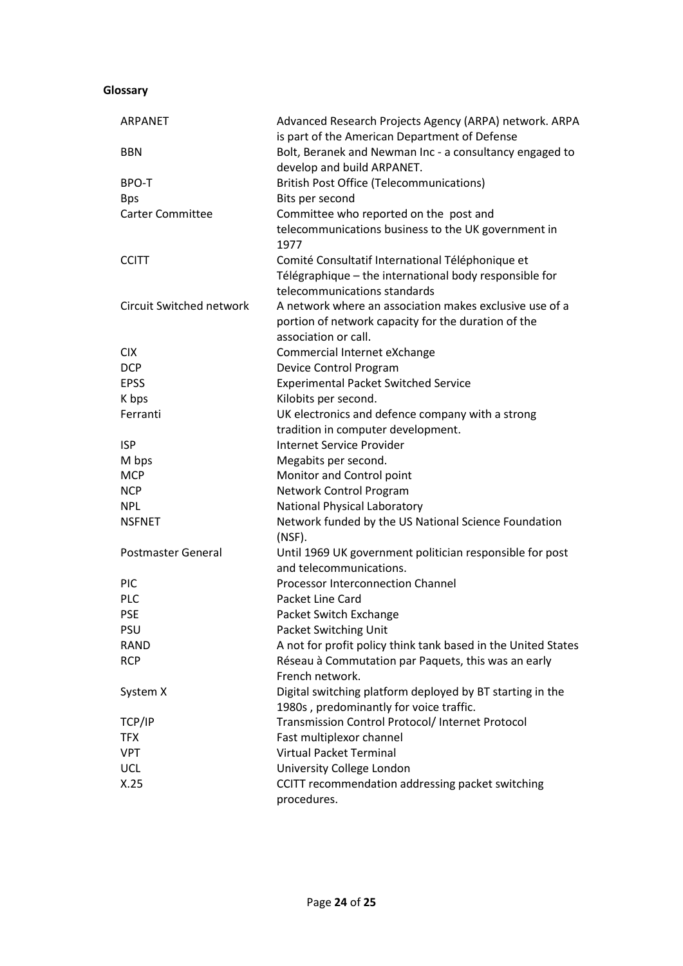#### **Glossary**

| <b>ARPANET</b>                  | Advanced Research Projects Agency (ARPA) network. ARPA<br>is part of the American Department of Defense |
|---------------------------------|---------------------------------------------------------------------------------------------------------|
| <b>BBN</b>                      | Bolt, Beranek and Newman Inc - a consultancy engaged to                                                 |
|                                 | develop and build ARPANET.                                                                              |
| <b>BPO-T</b>                    | <b>British Post Office (Telecommunications)</b>                                                         |
| <b>Bps</b>                      | Bits per second                                                                                         |
| <b>Carter Committee</b>         | Committee who reported on the post and                                                                  |
|                                 | telecommunications business to the UK government in                                                     |
|                                 | 1977                                                                                                    |
| <b>CCITT</b>                    | Comité Consultatif International Téléphonique et                                                        |
|                                 | Télégraphique - the international body responsible for                                                  |
|                                 | telecommunications standards                                                                            |
| <b>Circuit Switched network</b> | A network where an association makes exclusive use of a                                                 |
|                                 | portion of network capacity for the duration of the                                                     |
|                                 | association or call.                                                                                    |
| <b>CIX</b>                      | Commercial Internet eXchange                                                                            |
| <b>DCP</b>                      | Device Control Program                                                                                  |
| <b>EPSS</b>                     | <b>Experimental Packet Switched Service</b>                                                             |
| K bps                           | Kilobits per second.                                                                                    |
| Ferranti                        | UK electronics and defence company with a strong                                                        |
|                                 | tradition in computer development.                                                                      |
| <b>ISP</b>                      | <b>Internet Service Provider</b>                                                                        |
| M bps                           | Megabits per second.                                                                                    |
| <b>MCP</b>                      | Monitor and Control point                                                                               |
| <b>NCP</b>                      | Network Control Program                                                                                 |
| <b>NPL</b>                      | National Physical Laboratory                                                                            |
| <b>NSFNET</b>                   | Network funded by the US National Science Foundation                                                    |
|                                 | (NSF).                                                                                                  |
| Postmaster General              | Until 1969 UK government politician responsible for post                                                |
|                                 | and telecommunications.                                                                                 |
| <b>PIC</b>                      | <b>Processor Interconnection Channel</b>                                                                |
| <b>PLC</b>                      | Packet Line Card                                                                                        |
| <b>PSE</b>                      | Packet Switch Exchange                                                                                  |
| <b>PSU</b>                      | Packet Switching Unit                                                                                   |
| <b>RAND</b>                     | A not for profit policy think tank based in the United States                                           |
| <b>RCP</b>                      | Réseau à Commutation par Paquets, this was an early                                                     |
|                                 | French network.                                                                                         |
| System X                        | Digital switching platform deployed by BT starting in the                                               |
|                                 | 1980s, predominantly for voice traffic.                                                                 |
| TCP/IP                          | Transmission Control Protocol/ Internet Protocol                                                        |
| <b>TFX</b>                      | Fast multiplexor channel                                                                                |
| <b>VPT</b>                      | <b>Virtual Packet Terminal</b>                                                                          |
| <b>UCL</b>                      | University College London                                                                               |
| X.25                            | CCITT recommendation addressing packet switching                                                        |
|                                 | procedures.                                                                                             |